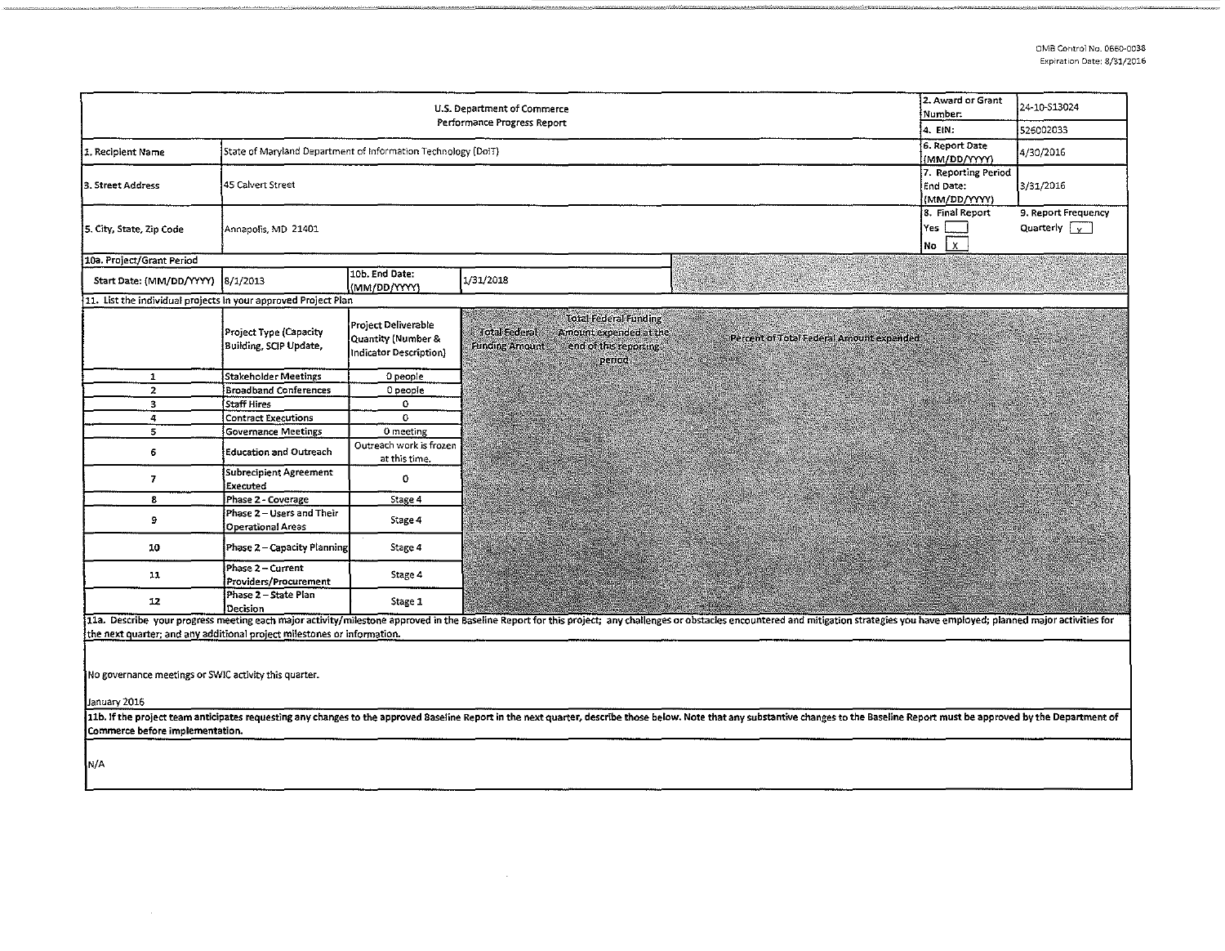| U.S. Department of Commerce<br>Performance Progress Report                                                                                                                                                                                                        |                                                               |                                                                                |                                                                                                                                                                                                                                |                                                                                            |                    | 2. Award or Grant<br>Number.<br>4. EIN:  | 24-10-513024<br>526002033                                           |                                             |
|-------------------------------------------------------------------------------------------------------------------------------------------------------------------------------------------------------------------------------------------------------------------|---------------------------------------------------------------|--------------------------------------------------------------------------------|--------------------------------------------------------------------------------------------------------------------------------------------------------------------------------------------------------------------------------|--------------------------------------------------------------------------------------------|--------------------|------------------------------------------|---------------------------------------------------------------------|---------------------------------------------|
| 1. Recipient Name                                                                                                                                                                                                                                                 | State of Maryland Department of Information Technology (DoIT) |                                                                                |                                                                                                                                                                                                                                |                                                                                            |                    |                                          | 6. Report Date<br>(MM/DD/YYYY)                                      | 4/30/2016                                   |
| 3. Street Address                                                                                                                                                                                                                                                 | 45 Calvert Street                                             |                                                                                |                                                                                                                                                                                                                                |                                                                                            |                    |                                          | 7. Reporting Period<br>End Date:<br>(MM/DD/YYYY)<br>8. Final Report | 3/31/2016                                   |
| 5. City, State, Zip Code                                                                                                                                                                                                                                          | Yes<br>Annapolis, MD 21401<br>No                              |                                                                                |                                                                                                                                                                                                                                |                                                                                            |                    |                                          |                                                                     | 9. Report Frequency<br>Quarterly $\sqrt{x}$ |
| 10a. Project/Grant Period                                                                                                                                                                                                                                         |                                                               |                                                                                |                                                                                                                                                                                                                                |                                                                                            |                    |                                          |                                                                     |                                             |
| Start Date: (MM/DD/YYYY)                                                                                                                                                                                                                                          | 8/1/2013                                                      | 10b. End Date:<br>(MM/DD/YYYY)                                                 | 1/31/2018                                                                                                                                                                                                                      |                                                                                            | Mark Communication |                                          |                                                                     |                                             |
| 11. List the individual projects in your approved Project Plan                                                                                                                                                                                                    |                                                               |                                                                                |                                                                                                                                                                                                                                |                                                                                            |                    |                                          |                                                                     |                                             |
|                                                                                                                                                                                                                                                                   | Project Type (Capacity<br>Building, SCIP Update,              | Project Deliverable<br><b>Quantity (Number &amp;</b><br>Indicator Description) | <b>Total Federal</b><br><b>Funding Amount</b>                                                                                                                                                                                  | <b>Total Federal Funding</b><br>Amount expended at the<br>end of this reporting.<br>period |                    | Percent of Total Federal Amount expended |                                                                     |                                             |
| $\mathbf{1}$                                                                                                                                                                                                                                                      | Stakeholder Meetings                                          | 0 people                                                                       |                                                                                                                                                                                                                                |                                                                                            |                    |                                          |                                                                     |                                             |
| $\overline{z}$                                                                                                                                                                                                                                                    | <b>Broadband Conferences</b>                                  | 0 people                                                                       |                                                                                                                                                                                                                                |                                                                                            |                    |                                          |                                                                     |                                             |
| з.                                                                                                                                                                                                                                                                | <b>Staff Hires</b>                                            | 0                                                                              |                                                                                                                                                                                                                                |                                                                                            |                    |                                          |                                                                     |                                             |
| 4                                                                                                                                                                                                                                                                 | <b>Contract Executions</b>                                    | $\mathbf{O}$                                                                   |                                                                                                                                                                                                                                |                                                                                            |                    |                                          |                                                                     |                                             |
| 5                                                                                                                                                                                                                                                                 | <b>Governance Meetings</b>                                    | 0 meeting                                                                      |                                                                                                                                                                                                                                |                                                                                            |                    |                                          |                                                                     |                                             |
| 6                                                                                                                                                                                                                                                                 | <b>Education and Outreach</b>                                 | Outreach work is frozen<br>at this time.                                       |                                                                                                                                                                                                                                |                                                                                            |                    |                                          |                                                                     |                                             |
| 7                                                                                                                                                                                                                                                                 | Subrecipient Agreement<br>Executed                            | 0                                                                              |                                                                                                                                                                                                                                |                                                                                            |                    |                                          |                                                                     |                                             |
| 8                                                                                                                                                                                                                                                                 | Phase 2 - Coverage                                            | Stage 4                                                                        |                                                                                                                                                                                                                                |                                                                                            |                    |                                          |                                                                     |                                             |
| 9                                                                                                                                                                                                                                                                 | Phase 2 - Users and Their<br><b>Operational Areas</b>         | Stage 4                                                                        |                                                                                                                                                                                                                                |                                                                                            |                    |                                          |                                                                     |                                             |
| 10                                                                                                                                                                                                                                                                | Phase 2 - Capacity Planning                                   | Stage 4                                                                        |                                                                                                                                                                                                                                |                                                                                            |                    |                                          |                                                                     |                                             |
| 11                                                                                                                                                                                                                                                                | Phase 2 - Current<br>Providers/Procurement                    | Stage 4                                                                        |                                                                                                                                                                                                                                |                                                                                            |                    |                                          |                                                                     |                                             |
| 12                                                                                                                                                                                                                                                                | Phase 2 - State Plan<br>Decision                              | Stage 1                                                                        |                                                                                                                                                                                                                                |                                                                                            |                    |                                          |                                                                     |                                             |
|                                                                                                                                                                                                                                                                   |                                                               |                                                                                | 11a. Describe your progress meeting each major activity/milestone approved in the Baseline Report for this project; any challenges or obstacles encountered and mitigation strategies you have employed; planned major activit |                                                                                            |                    |                                          |                                                                     |                                             |
| the next quarter; and any additional project milestones or information.                                                                                                                                                                                           |                                                               |                                                                                |                                                                                                                                                                                                                                |                                                                                            |                    |                                          |                                                                     |                                             |
| No governance meetings or SWIC activity this quarter.<br>January 2016                                                                                                                                                                                             |                                                               |                                                                                |                                                                                                                                                                                                                                |                                                                                            |                    |                                          |                                                                     |                                             |
| 11b. If the project team anticipates requesting any changes to the approved Baseline Report in the next quarter, describe those below. Note that any substantive changes to the Baseline Report must be approved by the Depart<br>Commerce before implementation. |                                                               |                                                                                |                                                                                                                                                                                                                                |                                                                                            |                    |                                          |                                                                     |                                             |
| N/A                                                                                                                                                                                                                                                               |                                                               |                                                                                |                                                                                                                                                                                                                                |                                                                                            |                    |                                          |                                                                     |                                             |

 $\sim$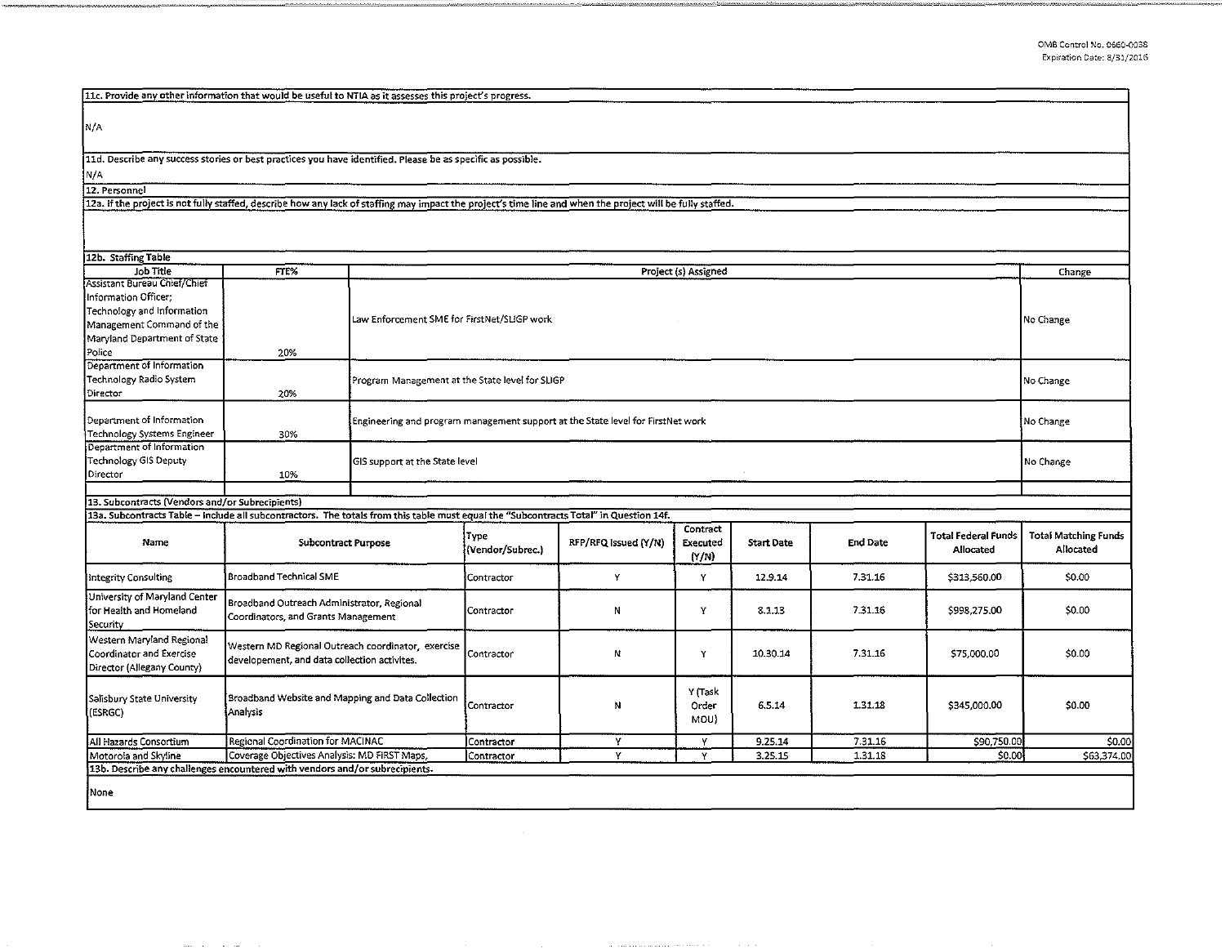| 11c. Provide any other information that would be useful to NTIA as it assesses this project's progress.                                                    |                                                              |                                                                                 |                  |                      |                      |                   |                 |                            |                             |  |
|------------------------------------------------------------------------------------------------------------------------------------------------------------|--------------------------------------------------------------|---------------------------------------------------------------------------------|------------------|----------------------|----------------------|-------------------|-----------------|----------------------------|-----------------------------|--|
|                                                                                                                                                            |                                                              |                                                                                 |                  |                      |                      |                   |                 |                            |                             |  |
|                                                                                                                                                            |                                                              |                                                                                 |                  |                      |                      |                   |                 |                            |                             |  |
| N/A                                                                                                                                                        |                                                              |                                                                                 |                  |                      |                      |                   |                 |                            |                             |  |
|                                                                                                                                                            |                                                              |                                                                                 |                  |                      |                      |                   |                 |                            |                             |  |
| 11d. Describe any success stories or best practices you have identified. Please be as specific as possible.                                                |                                                              |                                                                                 |                  |                      |                      |                   |                 |                            |                             |  |
| N/A                                                                                                                                                        |                                                              |                                                                                 |                  |                      |                      |                   |                 |                            |                             |  |
| 12. Personnel                                                                                                                                              |                                                              |                                                                                 |                  |                      |                      |                   |                 |                            |                             |  |
| 12a. If the project is not fully staffed, describe how any lack of staffing may impact the project's time line and when the project will be fully staffed. |                                                              |                                                                                 |                  |                      |                      |                   |                 |                            |                             |  |
|                                                                                                                                                            |                                                              |                                                                                 |                  |                      |                      |                   |                 |                            |                             |  |
|                                                                                                                                                            |                                                              |                                                                                 |                  |                      |                      |                   |                 |                            |                             |  |
|                                                                                                                                                            |                                                              |                                                                                 |                  |                      |                      |                   |                 |                            |                             |  |
| 12b. Staffing Table                                                                                                                                        |                                                              |                                                                                 |                  |                      |                      |                   |                 |                            |                             |  |
| Job Title                                                                                                                                                  | FTE%                                                         |                                                                                 |                  |                      | Project (s) Assigned |                   |                 |                            | Change                      |  |
| Assistant Bureau Chief/Chief                                                                                                                               |                                                              |                                                                                 |                  |                      |                      |                   |                 |                            |                             |  |
| Information Officer;                                                                                                                                       |                                                              |                                                                                 |                  |                      |                      |                   |                 |                            |                             |  |
| Technology and Information                                                                                                                                 |                                                              |                                                                                 |                  |                      |                      |                   |                 |                            |                             |  |
| Management Command of the                                                                                                                                  |                                                              | Law Enforcement SME for FirstNet/SLIGP work                                     |                  |                      |                      |                   | No Change       |                            |                             |  |
| Maryland Department of State                                                                                                                               |                                                              |                                                                                 |                  |                      |                      |                   |                 |                            |                             |  |
| Police                                                                                                                                                     | 20%                                                          |                                                                                 |                  |                      |                      |                   |                 |                            |                             |  |
| Department of Information                                                                                                                                  |                                                              |                                                                                 |                  |                      |                      |                   |                 |                            |                             |  |
| Technology Radio System                                                                                                                                    |                                                              | Program Management at the State level for SLIGP                                 |                  |                      |                      |                   |                 |                            | No Change                   |  |
| Director                                                                                                                                                   | 20%                                                          |                                                                                 |                  |                      |                      |                   |                 |                            |                             |  |
|                                                                                                                                                            |                                                              |                                                                                 |                  |                      |                      |                   |                 |                            |                             |  |
| Department of Information                                                                                                                                  |                                                              | Engineering and program management support at the State level for FirstNet work |                  |                      |                      |                   |                 |                            | No Change                   |  |
| Technology Systems Engineer                                                                                                                                | 30%                                                          |                                                                                 |                  |                      |                      |                   |                 |                            |                             |  |
| Department of Information                                                                                                                                  |                                                              |                                                                                 |                  |                      |                      |                   |                 |                            |                             |  |
| <b>Technology GIS Deputy</b>                                                                                                                               |                                                              | GIS support at the State level                                                  |                  |                      |                      |                   |                 |                            | No Change                   |  |
| Director                                                                                                                                                   | 10%                                                          |                                                                                 |                  |                      |                      |                   |                 |                            |                             |  |
|                                                                                                                                                            |                                                              |                                                                                 |                  |                      |                      |                   |                 |                            |                             |  |
| 13. Subcontracts (Vendors and/or Subrecipients)                                                                                                            |                                                              |                                                                                 |                  |                      |                      |                   |                 |                            |                             |  |
| 13a. Subcontracts Table - Include all subcontractors. The totals from this table must equal the "Subcontracts Total" in Question 14f.                      |                                                              |                                                                                 |                  |                      |                      |                   |                 |                            |                             |  |
|                                                                                                                                                            | <b>Subcontract Purpose</b><br><b>Broadband Technical SME</b> |                                                                                 | Type             |                      | Contract             |                   |                 | <b>Total Federal Funds</b> | <b>Total Matching Funds</b> |  |
| Name                                                                                                                                                       |                                                              |                                                                                 | (Vendor/Subrec.) | RFP/RFQ Issued (Y/N) | Executed<br>(Y/N)    | <b>Start Date</b> | <b>End Date</b> | Allocated                  | Allocated                   |  |
|                                                                                                                                                            |                                                              |                                                                                 |                  |                      |                      |                   |                 |                            |                             |  |
| Integrity Consulting                                                                                                                                       |                                                              |                                                                                 | Contractor       | Y                    | Υ                    | 12.9.14           | 7.31.16         | \$313,560.00               | \$0.00                      |  |
| University of Maryland Center                                                                                                                              |                                                              |                                                                                 |                  |                      |                      |                   |                 |                            |                             |  |
| for Health and Homeland                                                                                                                                    | Broadband Outreach Administrator, Regional                   |                                                                                 | Contractor       | И                    | Y                    | 8.1.13            | 7.31.16         | \$998,275.00               | \$0.00                      |  |
| Security                                                                                                                                                   | Coordinators, and Grants Management                          |                                                                                 |                  |                      |                      |                   |                 |                            |                             |  |
| Western Maryland Regional                                                                                                                                  |                                                              |                                                                                 |                  |                      |                      |                   |                 |                            |                             |  |
| Coordinator and Exercise                                                                                                                                   | Western MD Regional Outreach coordinator, exercise           |                                                                                 |                  | И                    | Y                    | 10.30.14          | 7.31.16         | \$75,000.00                | \$0.00                      |  |
|                                                                                                                                                            | developement, and data collection activites.                 |                                                                                 | Contractor       |                      |                      |                   |                 |                            |                             |  |
| Director (Allegany County)                                                                                                                                 |                                                              |                                                                                 |                  |                      |                      |                   |                 |                            |                             |  |
|                                                                                                                                                            |                                                              |                                                                                 |                  |                      | Y (Task              |                   |                 |                            |                             |  |
| Salisbury State University                                                                                                                                 | Broadband Website and Mapping and Data Collection            |                                                                                 | Contractor       | N                    | Order                | 6.5.14            | 1.31.18         | \$345,000.00               | \$0.00                      |  |
| (ESRGC)                                                                                                                                                    | Analysis                                                     |                                                                                 |                  |                      | MOU)                 |                   |                 |                            |                             |  |
|                                                                                                                                                            |                                                              |                                                                                 |                  |                      |                      |                   |                 |                            |                             |  |
| All Hazards Consortium                                                                                                                                     | Regional Coordination for MACINAC                            |                                                                                 | Contractor       | Y                    | Y                    | 9.25.14           | 7.31.16         | \$90,750.00                | \$0.00                      |  |
| Motorola and Skyline                                                                                                                                       | Coverage Objectives Analysis: MD FIRST Maps,                 |                                                                                 | Contractor       | Y                    | Y                    | 3.25.15           | 1.31.18         | \$0.00                     | \$63,374.00                 |  |
| 13b. Describe any challenges encountered with vendors and/or subrecipients.                                                                                |                                                              |                                                                                 |                  |                      |                      |                   |                 |                            |                             |  |
| None                                                                                                                                                       |                                                              |                                                                                 |                  |                      |                      |                   |                 |                            |                             |  |
|                                                                                                                                                            |                                                              |                                                                                 |                  |                      |                      |                   |                 |                            |                             |  |